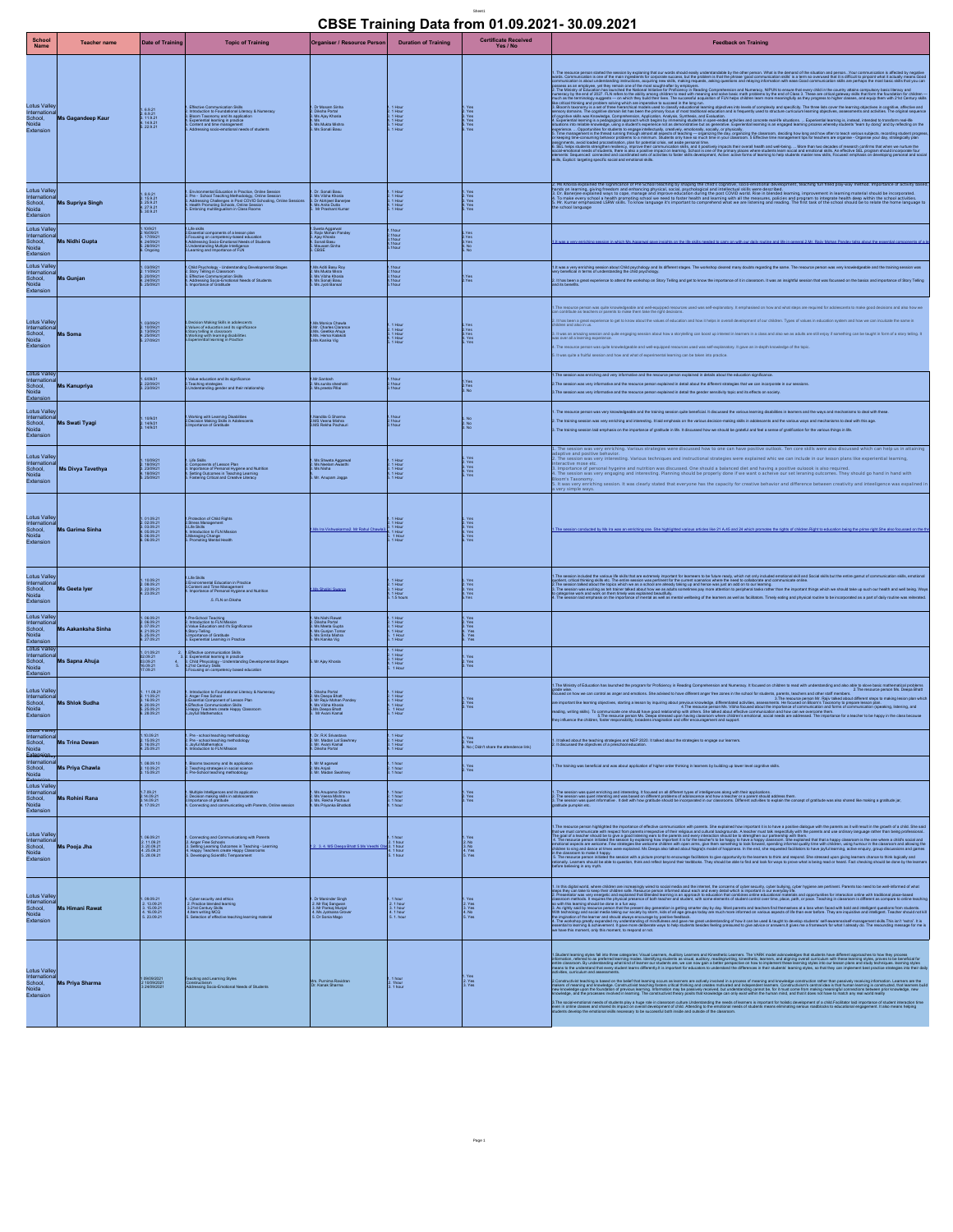## Sheet1 **CBSE Training Data from 01.09.2021- 30.09.2021**

|                                                                               |                                                                                                                                                   |                                                                                                                                                                                                                                                                                                                                                                                                                                                                                |                                                                                                                                   |                                                           | CBSE Training Data from 01.09.2021-30.09.2021                                                                                                                                                                                                                                                                                                                                                                                                                                                                                                                                                                                                                                                                                                                                                                                                                                                                                                       |
|-------------------------------------------------------------------------------|---------------------------------------------------------------------------------------------------------------------------------------------------|--------------------------------------------------------------------------------------------------------------------------------------------------------------------------------------------------------------------------------------------------------------------------------------------------------------------------------------------------------------------------------------------------------------------------------------------------------------------------------|-----------------------------------------------------------------------------------------------------------------------------------|-----------------------------------------------------------|-----------------------------------------------------------------------------------------------------------------------------------------------------------------------------------------------------------------------------------------------------------------------------------------------------------------------------------------------------------------------------------------------------------------------------------------------------------------------------------------------------------------------------------------------------------------------------------------------------------------------------------------------------------------------------------------------------------------------------------------------------------------------------------------------------------------------------------------------------------------------------------------------------------------------------------------------------|
|                                                                               |                                                                                                                                                   | School Teacher name Date of Training Topic of Training Organiser / Resource Person Duration of Training Certificate Received                                                                                                                                                                                                                                                                                                                                                   |                                                                                                                                   |                                                           | <b>Feedback on Training</b>                                                                                                                                                                                                                                                                                                                                                                                                                                                                                                                                                                                                                                                                                                                                                                                                                                                                                                                         |
|                                                                               |                                                                                                                                                   | $\left[\begin{array}{l l l} \text{Loits} \text{Valley} & \text{Lois} & \text{Enctan} \text{Common} \text{Cosh} & \text{Noitsan} \text{Cosh} \text{Cosh} & \text{Notsan} \text{Cosh} \text{Cosh} \\ \text{In the non-inclon} \text{Conver, } & \text{Lois} \text{Cosh} & \text{Cois} \text{Cosh} & \text{Coisan} \text{Cosh} \text{Cosh} & \text{Notsan} \text{Cosh} \\ \text{Chironic)} & \text{As} \text{Gagandeep Kaur} & \text{Notsan} \text{Cosh} & \text{Notsan} \text{C$ |                                                                                                                                   |                                                           | <sup>4</sup> . The scure personable the secondy explaint that went should say understanded by the offer second market and the second market and the second market and the second market and the second market and the second market of t<br>posses a a employ, yet ay ama the different by the project<br>Andrain state of sports in the most of the complete of the state of the state of the state of the state of the state of the state of the state of the state of the<br>and a limit particular interest in the particular interest in the spinning and control in the state of primary based on the state of the state interest interest in the state of the state of the state of the state of the s                                                                                                                                                                                                                                       |
|                                                                               | Lotus Valley<br>International<br>School, <b>Ms Supriya Singh</b><br>Noida<br>Extension                                                            | 1. Environmental Education in Practice, Online Season (* 101. Sonali Basu<br>2. Novimber 2008, School Teaching Methodology, Online Season (* 101. Novimber 2008)<br>3. Advisesing Challenges in Post COVID Schooling, Online Seasion                                                                                                                                                                                                                                           |                                                                                                                                   |                                                           | xplained the significance of Pre School teaching by shaping the child's cognitive, socio-emotional development, teaching fun filled play-way method. Importance of activity based<br>leads on sering aing thedow and ensuring priors) considerable considerable considerable that the propose in the<br>1. D. Baseles capacity and the proposed of the process of the proposed of the information in improvement in te                                                                                                                                                                                                                                                                                                                                                                                                                                                                                                                              |
| <b>totus Valley<br/> ternational</b><br>hool, <b>Ms Gunjan</b><br>ia          | II, Ms Nidhi Gupta                                                                                                                                | hild Psychology - Understanding Developmental Stages<br>4: Effective Communication Skills<br>4: Addressing Socio-Emotional Needs of Students<br>5: Importance of Gratitude                                                                                                                                                                                                                                                                                                     |                                                                                                                                   |                                                           | 1.It was a very enriching session about Child psychology and its different stages. The workshop cleared many doubts regarding the same. The resource person was very knowledgeable and the training session will<br>2. It has been a great experience to attend the workshop on Stoy Telling and get to know the importance of it in classroom. It was an insightful session that was focussed on the basics and importance of Story Telling                                                                                                                                                                                                                                                                                                                                                                                                                                                                                                        |
| Lotus Valley<br>International<br>School, <b>Ms Soma</b><br>Noida<br>Extension | 1.0309/21<br>2.1009/21<br>3.1309/21<br>4.2509/21<br>5.27/09/21                                                                                    | 1 Decision Making Skills in adolescents<br>2.Values of education and its significance<br>3.Story telling in classroom<br>4.Working with keaming in Practice<br>5.Experiential learning in Practice                                                                                                                                                                                                                                                                             | 1.Ms Monica Chawla<br>2.Mr. Charles Clarance<br>3.Ms. Geetika Ahuja<br>4.Ms. Herna Kalakoti<br>5.Ms Kanika Vin                    |                                                           | 1. The resource person was quite knowledgeable and well-equipped resources used was self-explanatory. It emphasised on how and what steps are required for adolescents to make good decisions and all<br>can contribute as teache<br>2. It has been a great experience to get to know about the values of education and how it helps in overall development of our children. Types of values in education system and how we can inculcate the<br>3. It was an amazing sesion and quite engaging session about how a storytelling can boost up interest in learners in a class and also we as adults are still enjoy if something can be taught in form of a story te<br>was over a<br>4. The resource person was quite knowledgeable and well-equipped resources used was self-explanatory. It gave an in-depth knowledge of the topic.<br>5. It was quite a fruitful session and how and what of experimental learning can be taken into practice. |
| $x$ ension                                                                    | <b>International</b><br>The Ms Kanupriya<br>2.22/09/21<br>3.23/09/21                                                                              | 1.Value education and its significance<br>2.Teaching strategies<br>3.Understanding gender and their relationship                                                                                                                                                                                                                                                                                                                                                               | 1.Mr.Santosh<br>2. Ms.sunita sheshatri<br>3. Ms.preeta Pillai                                                                     |                                                           | 1. The session was enriching and very informative and the resource person explained in details about the education significance.<br>2. The session was very informative and the resource person explained in detail about the different strategies that we can incorporate in our sessions.<br>3. The session was very informative and the resource person explained in detail the gender sensitivity topic and its effects on society.                                                                                                                                                                                                                                                                                                                                                                                                                                                                                                             |
| Extension                                                                     | national<br><sup>001,</sup> Ms Swati Tyagi<br>o                                                                                                   | 1.Working with Learning Disabilities<br>2.Decision Making Skills in Adolescents<br>3.Importance of Gratitude                                                                                                                                                                                                                                                                                                                                                                   | 1.Nandita G Sharma<br>2.MS Veena Mishra<br>3.MS Rekha Pachauri                                                                    |                                                           | 1. The resource person was very knowledgeable and the training session quite beneficial. It discussed the various learning disabilities in learners and the ways and mechanisms to deal with these.<br>2. The training session was very enriching and interesting. It laid emphasis on the various decision-making skills in adolescents and the various ways and mechanisms to deal with this age.<br>3. The training session laid emphasis on the importance of grattude in Ife. It discussed how we should be grateful and feel a sense of grattication for the various things in Ife.                                                                                                                                                                                                                                                                                                                                                           |
|                                                                               | Lotus Valley<br>International<br>School, <b>Ms Divya Tavethya</b><br>Noida<br>Extension                                                           | 1. LIRe Skills<br>3. Domponents of Lesson Plan<br>3. Importance of Personal Hygiene and Nutrition<br>4. Setting Outcomes in Teaching Learning<br>5. Fostering Critical and Creative Literacy                                                                                                                                                                                                                                                                                   | 1. Ms Shweta Aggarwal<br>2. Ms Neelam Awasthi<br>3. Ms Nisha<br>5. Mr. Anupam Jagga                                               |                                                           | sion was very enriching. Various strategies were discussed how to one can have positive outlook. Ten core skills were also discussed which can help us in attaining<br>nd positive behavior.<br>ssion was very interesting. Various techniques and instructional strategies were explained whic we can include in our lesson plans like experiential learning,<br>Importance of personal hygeine and nutrition was discussed. One should a balanced diet and having a positive ouloook is also required.<br>The session was very engaging and interesting. Planning should be properly done if we w<br>uturns raxumuriy.<br>It was very enriching session. It was clearly stated that everyone has the capacity for creative behavior and difference between creativity and inteeligence was expali                                                                                                                                                 |
|                                                                               | Lotus Valley<br>International<br>School, <b>Ms Garima Sinha</b><br>Noida<br>Extension                                                             | 1 01:0321<br>202021 - Protestion of Child Rights<br>2020221 - In Bulle Sills and PHI<br>4.050221 - H. Nhoduction to FLN Mission<br>5.060221 - S. Nhonoling Mangai Health<br>5.060221 - S. Promoting Mangai Health                                                                                                                                                                                                                                                              | 1.Ms Ira Vishwakarma2, Mr Rahul Chawla3 B. 1 Ho                                                                                   |                                                           |                                                                                                                                                                                                                                                                                                                                                                                                                                                                                                                                                                                                                                                                                                                                                                                                                                                                                                                                                     |
|                                                                               | itus Valley<br> termational<br> shool, <b>Ms Geeta Iyer<br/> vicida<br/>Extension</b>                                                             | 1 Life Skills<br>2 Environmental Education in Practice<br>3 Content and Time Management<br>4. Importance of Personal Hygiene and Nutrition<br><b>1999 - S. FLN on Diksha</b>                                                                                                                                                                                                                                                                                                   | 1 Ms Shalini Swang                                                                                                                |                                                           | . The session todolet he value that have a changi imposed to kenner bis to have not provided and and one of the setter game of courses and of commission alla, ending and of commission alla, ending and one of the setter gam<br>ork and work on them timely was exclained beautifully.<br>I laid emphase on the importance of mental as well as mental wellbeing of the learners as well as facilitators. Timely eating and physical routine to be incorporated a                                                                                                                                                                                                                                                                                                                                                                                                                                                                                 |
|                                                                               | Lotus Valley<br>International<br>School, Mis Aakanksha Sinha<br>Voida                                                                             | 1.Pre-School Teaching<br>2. Introduction to FLN Mission<br>3.Value Education and it's Significance<br>5. Importance of Grattude<br>6. Experiential Learning in Practice                                                                                                                                                                                                                                                                                                        |                                                                                                                                   |                                                           |                                                                                                                                                                                                                                                                                                                                                                                                                                                                                                                                                                                                                                                                                                                                                                                                                                                                                                                                                     |
|                                                                               | ational<br><sup>II,</sup> Ms Sapna Ahuja                                                                                                          | 2   El Effective communication Skills<br>3   2: Experiential learning in practice<br>4. B. Child Pheycology - Understanding Developmental Stages<br>5.   4: Zist Comarty Skills<br> S Pocusing on competency based education<br>                                                                                                                                                                                                                                               |                                                                                                                                   |                                                           |                                                                                                                                                                                                                                                                                                                                                                                                                                                                                                                                                                                                                                                                                                                                                                                                                                                                                                                                                     |
|                                                                               | Lotus Valley<br>International<br>School, <b>Ms Shlok Sudha</b><br>Noida<br>Extension<br>$3.16.09.21$<br>4. 20.09.21<br>5. 25.09.21<br>6. 28.09.21 | 1. Introduction to Foundational Literacy & Numeracy<br>2. Anger Free School<br>3. Essential Component of Lesson Plan<br>4. Effective Communication Skills<br>5. Happy Teachers create Happy Classroom<br>8. Joyfull Mathematics                                                                                                                                                                                                                                                | 1. Diksha Portal<br>2. Ms Despa Bhatt<br>3. Mr Rajiv Mohan Pandey<br>4. Ms Vibha Khosla<br>5. Ms Deepa Bhatt<br>6. Mr Avani Kamal |                                                           | .<br>The Ministy of Education has launched the program for Proficiency in Reading Comprehension and Numeracy. It focused on children to read with understanding and also able to slove basic mathematical problems (2.The resourc<br>gode wa.<br>Good of how a can control as anger and endows. Die advanced and the spot of the significant particular content<br>we incoment in same good change is sandy about the spot of the system of the second thermal content an                                                                                                                                                                                                                                                                                                                                                                                                                                                                           |
| stassian <sub>uy</sub>   <u>     </u>                                         | cotus valley <b>and a state of the state of the state of the state of the state of the state of the state of the</b>                              | 1. Pre - school teaching methodology<br>2. Pre - school teaching methodology<br>3. Joyful Mathematics<br>4. Introduction to FLN MIssion                                                                                                                                                                                                                                                                                                                                        | 1. Dr. R.K Srivastava<br>2. Mr. Madan Lai Sawhney<br>3. Mr. Avani Kamal<br>4. Diksha Portal                                       |                                                           | 1.<br>2. Year - Maria Maria Banderon (1941)<br>2. It decused the objectives of a prechoid education.<br>2. No ( Didn't share the abjectives of a prechoid education.                                                                                                                                                                                                                                                                                                                                                                                                                                                                                                                                                                                                                                                                                                                                                                                |
|                                                                               | ternational<br>chool, <b>Mis Priya Chawla</b><br>cido<br>1.08.09.10<br>2.10.09.21<br>3.15.09.21<br>$r_{\rm min}$                                  | 1. Blooms taxonomy and its application<br>2. Teaching strategies in social science<br>3. Pre-School teaching methodology                                                                                                                                                                                                                                                                                                                                                       | 1. Mr M agarwal<br>2. Ms Anjali<br>3. Mr. Madan Swahney                                                                           |                                                           | 1. The training was beneficial and was about application of higher order thinking in learners by building up lower level cognitive skills.                                                                                                                                                                                                                                                                                                                                                                                                                                                                                                                                                                                                                                                                                                                                                                                                          |
| dension I                                                                     | Ms Rohini Rana<br>$\longrightarrow$                                                                                                               | 1. Multiple Intelligences and its application<br>2. Decision making skills in adoloscents<br>3. Importance of grafitude<br>4. Connecting and communicating with Parents, Online session   Ms. Pekha Pachauri<br>4. Connecting and co                                                                                                                                                                                                                                           |                                                                                                                                   |                                                           | t. The season was quiet entring and intensiting. It focused on all different liges of the light and special with an applications.<br>In The season was quiet thomage with a substitute the constraints and the season in the part                                                                                                                                                                                                                                                                                                                                                                                                                                                                                                                                                                                                                                                                                                                   |
| Extension                                                                     | otus Valley<br>"emational"<br>"pol, "Mis Pooja Jha<br>$3.20.09.21$<br>4. 25.09.21<br>5. 28.09.21                                                  | 1. Connecting and Communicationg with Parents<br>2. Anger Free Schools<br>3. Setting Learning Cultomes in Teaching - Learning<br>4. Happy Teachers create Happy Classrooms<br>5. Developing Bolentific Temparament                                                                                                                                                                                                                                                             | 1.2. 3. 4. MS Deepa Bhatt 5.Ms Veedhi Obs 3. 1 hour                                                                               |                                                           | The resume person highled to income of effects communities and paying. But a special department of the state of the state of the state of the state of the state of the state of the state of the state of the state of the st<br>ive a second person interest.<br>In the resource person inflated the session with a picture prompt to encourage facilitation to pie opportunity to the learners to think and respond. She stressed upon giving learners to think                                                                                                                                                                                                                                                                                                                                                                                                                                                                                  |
| Noida<br>Extension                                                            | Lotus Valley<br>International<br>School, Ms Himani Rawat<br>Neida                                                                                 | 1. 00.02.21 1. Cyber security and ethics<br>2. 15.00.21 2. 17 and contact blanning<br>4. 16.00.21 4. 18 and wetting Motion<br>4. 16.00.21 4. Bolaction of difference teaching learning material                                                                                                                                                                                                                                                                                | 1. Dr Maninder Singh<br>2. Mr Raj Sangwan<br>3. Mr Pankaj Munjal<br>4. Ms Jyotsana Grover<br>5. Dr Sonia Mago                     | 1.1 hour<br>2.1 hour<br>3.1 hour<br>4.1 hour<br>5.1. hour | is the opinions are able to the subsequent to make our company of the subsequent of except point with the second of the second of the second of the second of the second of the second of the second of the second of the seco<br>4. The workshop gradity expanded my understanding of mindliness and gave me peat understanding of how it can be used & laught to develop students self-awarens/self-management skills. This lan't worst, it is<br>easing to harmi                                                                                                                                                                                                                                                                                                                                                                                                                                                                                 |
| dension                                                                       |                                                                                                                                                   | Lotus Valley<br>International Miss Priya Sharma (1990-2021) Communication (1994-2021)<br>School, Mis Priya Sharma (1990-2022) Communication (1990-2021) Administrational Needs of Students<br>Andrea                                                                                                                                                                                                                                                                           | Mrs. Purnima Ravidran<br>Dr. Kanak Sharma                                                                                         | 1. 1 hour<br>2. 1 hour<br>3. 1 hour                       | . Baertwang aku bis bara alapina: Vasi Lanna Adiby Lanna ad Kindhai, Lanna. The Wilh Kindhai Maria Maria Kanad<br>Kindhai mara sa pelera karinji maka karibig sakata a mar adiby makayang kindhai. Karing mara mang-mang-mang-ma<br><br>2 Construkt teaming is beed on the bistrict teaming cours as in the material construction of meaning art teaming interest and the material construction and the persistent materials. The material construction in the materia<br>3. The social emotional needs of students play a huge role in dissersom utility difference is incomediate interpretant for holders development of a child Facilitate laid inportance of student interaction time<br>week in one c                                                                                                                                                                                                                                         |